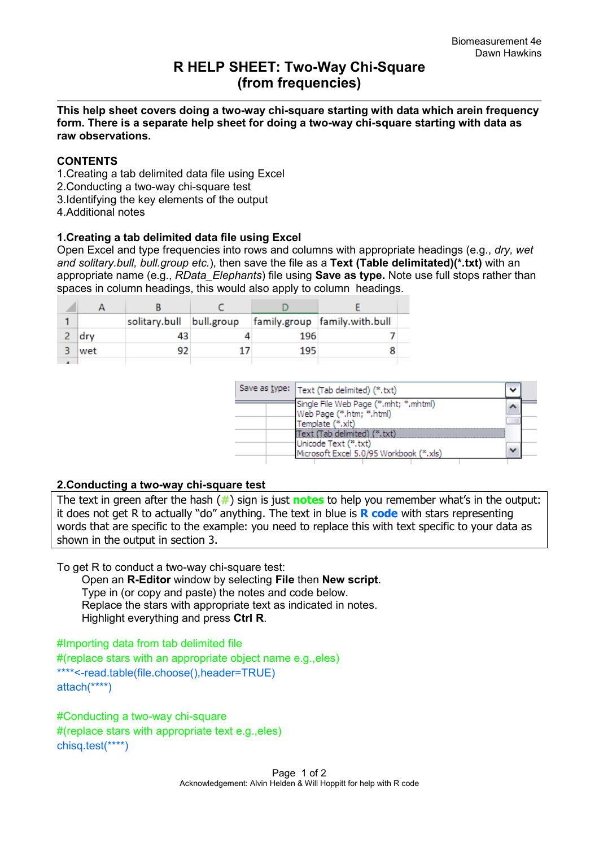# **R HELP SHEET: Two-Way Chi-Square (from frequencies)**

**This help sheet covers doing a two-way chi-square starting with data which arein frequency form. There is a separate help sheet for doing a two-way chi-square starting with data as raw observations.** 

### **CONTENTS**

- 1.Creating a tab delimited data file using Excel
- 2.Conducting a two-way chi-square test
- 3.Identifying the key elements of the output
- 4.Additional notes

### **1.Creating a tab delimited data file using Excel**

Open Excel and type frequencies into rows and columns with appropriate headings (e.g., *dry, wet and solitary.bull, bull.group etc.*), then save the file as a **Text (Table delimitated)(\*.txt)** with an appropriate name (e.g., *RData\_Elephants*) file using **Save as type.** Note use full stops rather than spaces in column headings, this would also apply to column headings.

|     | solitary.bull | bull.group |     | family.group family.with.bull |  |
|-----|---------------|------------|-----|-------------------------------|--|
| dry | 43            |            | 196 |                               |  |
| wet | 92            |            | 195 |                               |  |
|     |               |            |     |                               |  |

| Save as type:   Text (Tab delimited) (*.txt)                                                    |  |
|-------------------------------------------------------------------------------------------------|--|
| Single File Web Page (*.mht; *.mhtml)<br>Web Page (*.htm; *.html)<br>Template (*.xlt)           |  |
| Text (Tab delimited) (*.txt)<br>Unicode Text (*.txt)<br>Microsoft Excel 5.0/95 Workbook (*.xls) |  |

#### **2.Conducting a two-way chi-square test**

The text in green after the hash (**#**) sign is just **notes** to help you remember what's in the output: it does not get R to actually "do" anything. The text in blue is **R code** with stars representing words that are specific to the example: you need to replace this with text specific to your data as shown in the output in section 3.

To get R to conduct a two-way chi-square test:

 Open an **R-Editor** window by selecting **File** then **New script**. Type in (or copy and paste) the notes and code below. Replace the stars with appropriate text as indicated in notes. Highlight everything and press **Ctrl R**.

#Importing data from tab delimited file #(replace stars with an appropriate object name e.g.,eles) \*\*\*\*<-read.table(file.choose(),header=TRUE) attach(\*\*\*\*)

#Conducting a two-way chi-square #(replace stars with appropriate text e.g.,eles) chisq.test(\*\*\*\*)